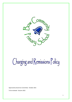

# Charging and Remissions Policy

Approved by Governors Committee: October 2021

To be reviewed: Autumn 2022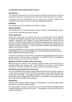# CHARGING AND REMISSIONS POLICY

#### **Introduction**

The purpose of the policy is to ensure that there is clarity over those items which the school will provide free of charge and for those items where there may be a charge.

The policy has been informed by the LA policy and the DfES guidance and complements the school's inclusion and equal opportunities policies.

# **Definition**

The standard school day is defined as: 8:55am to 3:30pm.

## **Responsibilities**

The Headteacher will ensure that staff are familiar with and correctly apply the policy.

The Governors will review the policy annually.

#### **Policy statement**

During the school day all activities that are a necessary part of the National Curriculum plus religious education will be provided free of charge. This includes any materials, equipment and transport to take pupils between the school and the activity. It excludes charges made for teaching an individual pupil or groups of up to four pupils to play a musical instrument. Unless the teaching is an essential part of either the National Curriculum or a public examination syllabus being followed by the pupil(s), we will make a charge.

Voluntary contributions may be sought for activities during the school day which entail additional costs, for example field trips, some sport related activities and day trips for gifted, able and talented pupils.

In these circumstances no pupil will be prevented from participating because his/her parents cannot or will not make a contribution. If insufficient funds are available it maybe necessary to curtail or cancel activities

# **Optional activities outside of the school day**

We will charge for optional, extra activities provided outside of the school day, for example football club, theatre visit. Such activities are not part of the National Curriculum or religious education nor are they part of an examination syllabus.

# **Education partly during the school day**

If a non-residential activity happens partly inside the school day and partly outside of it, there will be no charge if most of the time to be spent on the activity falls within the school day. Conversely, if the bigger proportion of time spent falls outside of the normal school day, charges will be made. When such activities are arranged parents will be told how the charges were calculated

# **Residential**

Charges will be made for board, lodging and transportation, except for pupils whose parents are in receipt of eligible benefits.

For those pupils in receipt of Pupil Premium, the cost of board and lodging will be covered through the pupil premium money. Transportation costs will be covered via parental contribution.